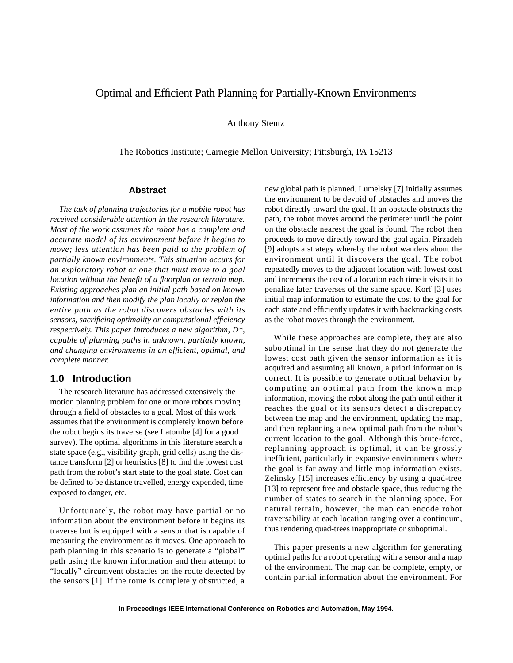# Optimal and Efficient Path Planning for Partially-Known Environments

Anthony Stentz

The Robotics Institute; Carnegie Mellon University; Pittsburgh, PA 15213

### **Abstract**

*The task of planning trajectories for a mobile robot has received considerable attention in the research literature. Most of the work assumes the robot has a complete and accurate model of its environment before it begins to move; less attention has been paid to the problem of partially known environments. This situation occurs for an exploratory robot or one that must move to a goal location without the benefit of a floorplan or terrain map. Existing approaches plan an initial path based on known information and then modify the plan locally or replan the entire path as the robot discovers obstacles with its sensors, sacrificing optimality or computational efficiency respectively. This paper introduces a new algorithm, D\*, capable of planning paths in unknown, partially known, and changing environments in an efficient, optimal, and complete manner.*

## **1.0 Introduction**

The research literature has addressed extensively the motion planning problem for one or more robots moving through a field of obstacles to a goal. Most of this work assumes that the environment is completely known before the robot begins its traverse (see Latombe [4] for a good survey). The optimal algorithms in this literature search a state space (e.g., visibility graph, grid cells) using the distance transform [2] or heuristics [8] to find the lowest cost path from the robot's start state to the goal state. Cost can be defined to be distance travelled, energy expended, time exposed to danger, etc.

Unfortunately, the robot may have partial or no information about the environment before it begins its traverse but is equipped with a sensor that is capable of measuring the environment as it moves. One approach to path planning in this scenario is to generate a "global**"** path using the known information and then attempt to "locally" circumvent obstacles on the route detected by the sensors [1]. If the route is completely obstructed, a

new global path is planned. Lumelsky [7] initially assumes the environment to be devoid of obstacles and moves the robot directly toward the goal. If an obstacle obstructs the path, the robot moves around the perimeter until the point on the obstacle nearest the goal is found. The robot then proceeds to move directly toward the goal again. Pirzadeh [9] adopts a strategy whereby the robot wanders about the environment until it discovers the goal. The robot repeatedly moves to the adjacent location with lowest cost and increments the cost of a location each time it visits it to penalize later traverses of the same space. Korf [3] uses initial map information to estimate the cost to the goal for each state and efficiently updates it with backtracking costs as the robot moves through the environment.

While these approaches are complete, they are also suboptimal in the sense that they do not generate the lowest cost path given the sensor information as it is acquired and assuming all known, a priori information is correct. It is possible to generate optimal behavior by computing an optimal path from the known map information, moving the robot along the path until either it reaches the goal or its sensors detect a discrepancy between the map and the environment, updating the map, and then replanning a new optimal path from the robot's current location to the goal. Although this brute-force, replanning approach is optimal, it can be grossly inefficient, particularly in expansive environments where the goal is far away and little map information exists. Zelinsky [15] increases efficiency by using a quad-tree [13] to represent free and obstacle space, thus reducing the number of states to search in the planning space. For natural terrain, however, the map can encode robot traversability at each location ranging over a continuum, thus rendering quad-trees inappropriate or suboptimal.

This paper presents a new algorithm for generating optimal paths for a robot operating with a sensor and a map of the environment. The map can be complete, empty, or contain partial information about the environment. For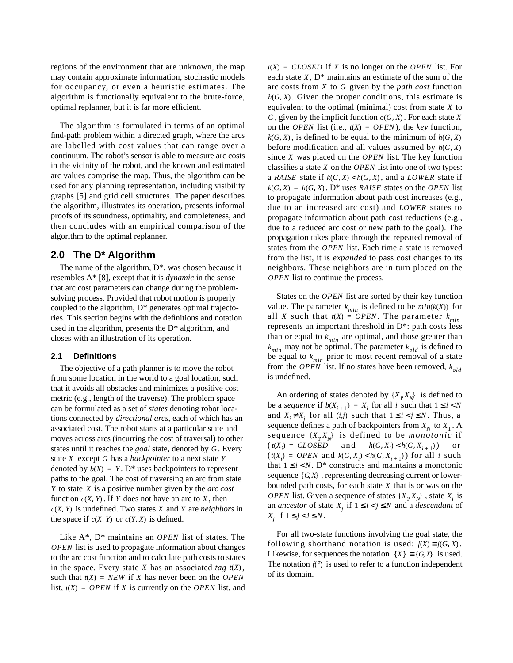regions of the environment that are unknown, the map may contain approximate information, stochastic models for occupancy, or even a heuristic estimates. The algorithm is functionally equivalent to the brute-force, optimal replanner, but it is far more efficient.

The algorithm is formulated in terms of an optimal find-path problem within a directed graph, where the arcs are labelled with cost values that can range over a continuum. The robot's sensor is able to measure arc costs in the vicinity of the robot, and the known and estimated arc values comprise the map. Thus, the algorithm can be used for any planning representation, including visibility graphs [5] and grid cell structures. The paper describes the algorithm, illustrates its operation, presents informal proofs of its soundness, optimality, and completeness, and then concludes with an empirical comparison of the algorithm to the optimal replanner.

# **2.0 The D\* Algorithm**

The name of the algorithm,  $D^*$ , was chosen because it resembles A\* [8], except that it is *dynamic* in the sense that arc cost parameters can change during the problemsolving process. Provided that robot motion is properly coupled to the algorithm, D\* generates optimal trajectories. This section begins with the definitions and notation used in the algorithm, presents the  $D^*$  algorithm, and closes with an illustration of its operation.

#### **2.1 Definitions**

The objective of a path planner is to move the robot from some location in the world to a goal location, such that it avoids all obstacles and minimizes a positive cost metric (e.g., length of the traverse). The problem space can be formulated as a set of *states* denoting robot locations connected by *directional arcs*, each of which has an associated cost. The robot starts at a particular state and moves across arcs (incurring the cost of traversal) to other states until it reaches the *goal* state, denoted by G. Every state *X* except *G* has a *backpointer* to a next state *Y* denoted by  $b(X) = Y$ . D<sup>\*</sup> uses backpointers to represent paths to the goal. The cost of traversing an arc from state *Y* to state *X* is a positive number given by the *arc cost* function  $c(X, Y)$ . If Y does not have an arc to X, then  $c(X, Y)$  is undefined. Two states X and Y are *neighbors* in the space if  $c(X, Y)$  or  $c(Y, X)$  is defined.

Like  $A^*$ ,  $D^*$  maintains an *OPEN* list of states. The OPEN list is used to propagate information about changes to the arc cost function and to calculate path costs to states in the space. Every state  $X$  has an associated  $tag \tfrac{X}{X}$ , such that  $t(X) = NEW$  if X has never been on the *OPEN* list,  $t(X) = OPEN$  if X is currently on the OPEN list, and

 $t(X) = CLOSED$  if X is no longer on the OPEN list. For each state  $X$ ,  $D^*$  maintains an estimate of the sum of the arc costs from X to G given by the *path cost* function  $h(G, X)$ . Given the proper conditions, this estimate is equivalent to the optimal (minimal) cost from state X to  $G$ , given by the implicit function  $o(G, X)$ . For each state  $X$ on the *OPEN* list (i.e.,  $t(X) = OPEN$ ), the *key* function,  $k(G, X)$ , is defined to be equal to the minimum of  $h(G, X)$ before modification and all values assumed by  $h(G, X)$ since  $X$  was placed on the *OPEN* list. The key function classifies a state *X* on the *OPEN* list into one of two types: a RAISE state if  $k(G, X) < h(G, X)$ , and a LOWER state if  $k(G, X) = h(G, X)$ . D<sup>\*</sup> uses *RAISE* states on the *OPEN* list to propagate information about path cost increases (e.g., due to an increased arc cost) and LOWER states to propagate information about path cost reductions (e.g., due to a reduced arc cost or new path to the goal). The propagation takes place through the repeated removal of states from the OPEN list. Each time a state is removed from the list, it is *expanded* to pass cost changes to its neighbors. These neighbors are in turn placed on the *OPEN* list to continue the process.

States on the OPEN list are sorted by their key function value. The parameter  $k_{min}$  is defined to be  $min(k(X))$  for all X such that  $t(X) =$  *OPEN*. The parameter  $k_{min}$ represents an important threshold in D\*: path costs less than or equal to  $k_{min}$  are optimal, and those greater than  $k_{min}$  may not be optimal. The parameter  $k_{old}$  is defined to be equal to  $k_{min}$  prior to most recent removal of a state from the *OPEN* list. If no states have been removed,  $k_{old}$ is undefined.

An ordering of states denoted by  $\{X_1, X_N\}$  is defined to be a *sequence* if  $b(X_{i+1}) = X_i$  for all *i* such that  $1 \le i \le N$ and  $X_i \neq X_j$  for all  $(i,j)$  such that  $1 \leq i < j \leq N$ . Thus, a sequence defines a path of backpointers from  $X_N$  to  $X_1$ . A  $x_{\text{p}}$  *x*<sub>1</sub>, *X*<sub>N</sub> is defined to be *monotonic* if  $(t(X_i) = \text{CLOSED}$  and  $h(G, X_i) < h(G, X_{i+1})$  or  $(t(X_i) = OPER$  and  $k(G, X_i) < h(G, X_{i+1})$  for all *i* such that  $1 \leq i \leq N$ . D<sup>\*</sup> constructs and maintains a monotonic sequence  $\{G, X\}$ , representing decreasing current or lowerbounded path costs, for each state X that is or was on the *OPEN* list. Given a sequence of states  $\{X_i, X_N\}$ , state  $X_i$  is an *ancestor* of state  $X_j$  if  $1 \le i < j \le N$  and a *descendant* of  $X_j$  if  $1 \leq j < i \leq N$ .

For all two-state functions involving the goal state, the following shorthand notation is used:  $f(X) \equiv f(G, X)$ . Likewise, for sequences the notation  $\{X\} \equiv \{G, X\}$  is used. The notation  $f$ <sup>( $\circ$ </sup>) is used to refer to a function independent of its domain.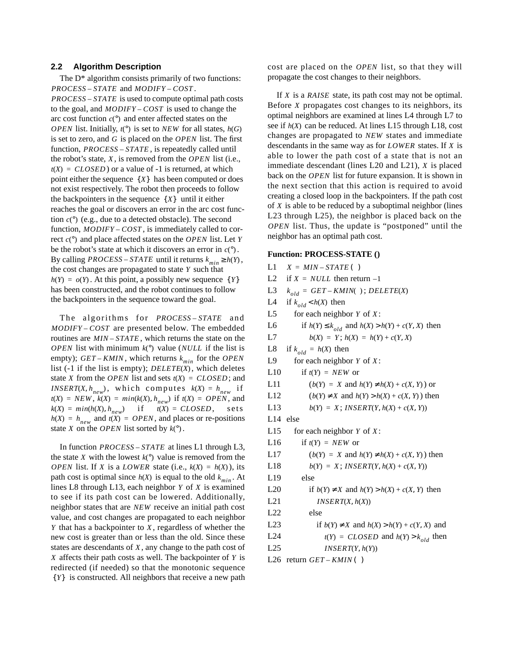#### **2.2 Algorithm Description**

The  $D^*$  algorithm consists primarily of two functions: PROCESS - STATE and  $MODIFY - COST$ .

*PROCESS* – *STATE* is used to compute optimal path costs to the goal, and *MODIFY – COST* is used to change the arc cost function  $c$ <sup>( $\circ$ </sup>) and enter affected states on the *OPEN* list. Initially,  $t^{\circ}$  is set to *NEW* for all states,  $h(G)$ is set to zero, and G is placed on the OPEN list. The first function, *PROCESS* – *STATE*, is repeatedly called until the robot's state,  $X$ , is removed from the *OPEN* list (i.e.,  $t(X) = CLOSED$ ) or a value of -1 is returned, at which point either the sequence  $\{X\}$  has been computed or does not exist respectively. The robot then proceeds to follow the backpointers in the sequence  $\{X\}$  until it either reaches the goal or discovers an error in the arc cost function  $c$ <sup>( $\circ$ </sup>) (e.g., due to a detected obstacle). The second function,  $MODIFY - COST$ , is immediately called to correct  $c$ <sup>(°</sup>) and place affected states on the OPEN list. Let Y be the robot's state at which it discovers an error in  $c$ <sup>( $\circ$ </sup>). By calling  $PROCESS - STATE$  until it returns  $k_{min} \ge h(Y)$ , the cost changes are propagated to state Y such that  $h(Y) = o(Y)$ . At this point, a possibly new sequence  $\{Y\}$ has been constructed, and the robot continues to follow the backpointers in the sequence toward the goal.

The algorithms for *PROCESS-STATE* and MODIFY - COST are presented below. The embedded routines are  $MIN - STATE$ , which returns the state on the *OPEN* list with minimum  $k$ <sup>( $\circ$ </sup>) value (*NULL* if the list is empty);  $GET - KMIN$ , which returns  $k_{min}$  for the *OPEN* list  $(-1)$  if the list is empty);  $DELETE(X)$ , which deletes state *X* from the *OPEN* list and sets  $t(X) = CLOGED$ ; and  $INSERT(X, h_{new})$ , which computes  $k(X) = h_{new}$  if  $t(X) = NEW$ ,  $k(X) = min(k(X), h_{new})$  if  $t(X) = OPEN$ , and  $k(X) = min(h(X), h_{new})$  if  $t(X) = CLOSED$ , sets  $h(X) = h_{new}$  and  $t(X) = OPEN$ , and places or re-positions state *X* on the *OPEN* list sorted by  $k$ <sup>( $\circ$ </sup>).

In function *PROCESS* – STATE at lines L1 through L3, the state X with the lowest  $k(°)$  value is removed from the *OPEN* list. If X is a *LOWER* state (i.e.,  $k(X) = h(X)$ ), its path cost is optimal since  $h(X)$  is equal to the old  $k_{min}$ . At lines L8 through L13, each neighbor Y of X is examined to see if its path cost can be lowered. Additionally, neighbor states that are NEW receive an initial path cost value, and cost changes are propagated to each neighbor *Y* that has a backpointer to *X*, regardless of whether the new cost is greater than or less than the old. Since these states are descendants of  $X$ , any change to the path cost of X affects their path costs as well. The backpointer of Y is redirected (if needed) so that the monotonic sequence {*Y*} is constructed. All neighbors that receive a new path

cost are placed on the OPEN list, so that they will propagate the cost changes to their neighbors.

If X is a RAISE state, its path cost may not be optimal. Before *X* propagates cost changes to its neighbors, its optimal neighbors are examined at lines L4 through L7 to see if  $h(X)$  can be reduced. At lines L15 through L18, cost changes are propagated to NEW states and immediate descendants in the same way as for *LOWER* states. If X is able to lower the path cost of a state that is not an immediate descendant (lines L20 and L21), *X* is placed back on the OPEN list for future expansion. It is shown in the next section that this action is required to avoid creating a closed loop in the backpointers. If the path cost of is able to be reduced by a suboptimal neighbor (lines *X* L23 through L25), the neighbor is placed back on the OPEN list. Thus, the update is "postponed" until the neighbor has an optimal path cost.

#### **Function: PROCESS-STATE ()**

| L1             | $X = MIN - STATE( )$                                   |
|----------------|--------------------------------------------------------|
| L <sub>2</sub> | if $X = NULL$ then return -1                           |
| L <sub>3</sub> | $k_{old} = GET - KMIN()$ ; $DELETE(X)$                 |
| L4             | if $k_{old} < h(X)$ then                               |
| L5             | for each neighbor $Y$ of $X$ :                         |
| L6             | if $h(Y) \le k_{old}$ and $h(X) > h(Y) + c(Y, X)$ then |
| L7             | $b(X) = Y$ ; $h(X) = h(Y) + c(Y, X)$                   |
| L8             | if $k_{old} = h(X)$ then                               |
| L9             | for each neighbor $Y$ of $X$ :                         |
| L10            | if $t(Y) = NEW$ or                                     |
| L11            | $(b(Y) = X$ and $h(Y) \neq h(X) + c(X, Y)$ or          |
| L12            | $(b(Y) \neq X$ and $h(Y) > h(X) + c(X, Y)$ then        |
| L13            | $b(Y) = X$ ; INSERT(Y, $h(X) + c(X, Y)$ )              |
|                |                                                        |
| L14            | else                                                   |
| L15            | for each neighbor $Y$ of $X$ :                         |
| L16            | if $t(Y) = NEW$ or                                     |
| L17            | $(b(Y) = X$ and $h(Y) \neq h(X) + c(X, Y)$ then        |
| L18            | $b(Y) = X$ ; <i>INSERT(Y, h(X) + c(X, Y))</i>          |
| L19            | else                                                   |
| L20            | if $b(Y) \neq X$ and $h(Y) > h(X) + c(X, Y)$ then      |
| L21            | INSERT(X, h(X))                                        |
| L22            | else                                                   |
| L23            | if $b(Y) \neq X$ and $h(X) > h(Y) + c(Y, X)$ and       |
| L24            | $t(Y) = CLOSED$ and $h(Y) > k_{old}$ then              |
| L25            | INSERT(Y, h(Y))                                        |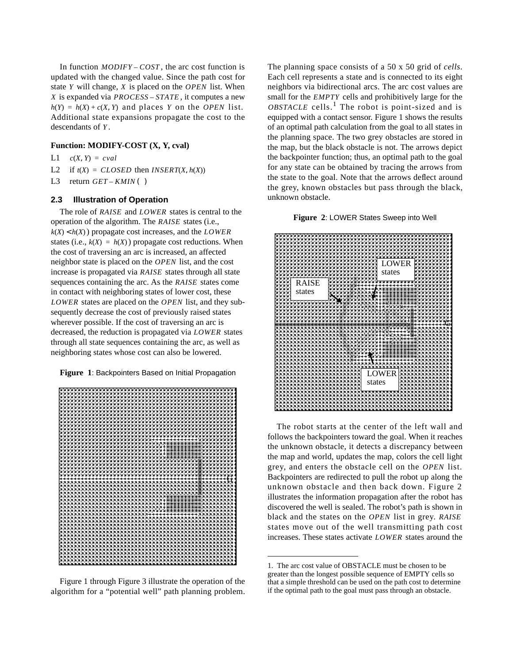In function *MODIFY* – COST, the arc cost function is updated with the changed value. Since the path cost for state Y will change, X is placed on the OPEN list. When *X* is expanded via *PROCESS* – *STATE*, it computes a new  $h(Y) = h(X) + c(X, Y)$  and places Y on the OPEN list. Additional state expansions propagate the cost to the descendants of Y.

#### **Function: MODIFY-COST (X, Y, cval)**

L1  $c(X, Y) = cval$ 

- L2 if  $t(X) = CLOSED$  then  $INSERT(X, h(X))$
- L3 return *GET KMIN*()

## **2.3 Illustration of Operation**

The role of RAISE and LOWER states is central to the operation of the algorithm. The RAISE states (i.e.,  $k(X) < h(X)$ ) propagate cost increases, and the *LOWER* states (i.e.,  $k(X) = h(X)$ ) propagate cost reductions. When the cost of traversing an arc is increased, an affected neighbor state is placed on the OPEN list, and the cost increase is propagated via RAISE states through all state sequences containing the arc. As the RAISE states come in contact with neighboring states of lower cost, these LOWER states are placed on the OPEN list, and they subsequently decrease the cost of previously raised states wherever possible. If the cost of traversing an arc is decreased, the reduction is propagated via LOWER states through all state sequences containing the arc, as well as neighboring states whose cost can also be lowered.





Figure 1 through Figure 3 illustrate the operation of the algorithm for a "potential well" path planning problem.

The planning space consists of a 50 x 50 grid of *cells*. Each cell represents a state and is connected to its eight neighbors via bidirectional arcs. The arc cost values are small for the *EMPTY* cells and prohibitively large for the  $OBSTACLE$  cells.<sup>1</sup> The robot is point-sized and is equipped with a contact sensor. Figure 1 shows the results of an optimal path calculation from the goal to all states in the planning space. The two grey obstacles are stored in the map, but the black obstacle is not. The arrows depict the backpointer function; thus, an optimal path to the goal for any state can be obtained by tracing the arrows from the state to the goal. Note that the arrows deflect around the grey, known obstacles but pass through the black, unknown obstacle.





The robot starts at the center of the left wall and follows the backpointers toward the goal. When it reaches the unknown obstacle, it detects a discrepancy between the map and world, updates the map, colors the cell light grey, and enters the obstacle cell on the OPEN list. Backpointers are redirected to pull the robot up along the unknown obstacle and then back down. Figure 2 illustrates the information propagation after the robot has discovered the well is sealed. The robot's path is shown in black and the states on the OPEN list in grey. RAISE states move out of the well transmitting path cost increases. These states activate LOWER states around the

<sup>1.</sup> The arc cost value of OBSTACLE must be chosen to be greater than the longest possible sequence of EMPTY cells so that a simple threshold can be used on the path cost to determine if the optimal path to the goal must pass through an obstacle.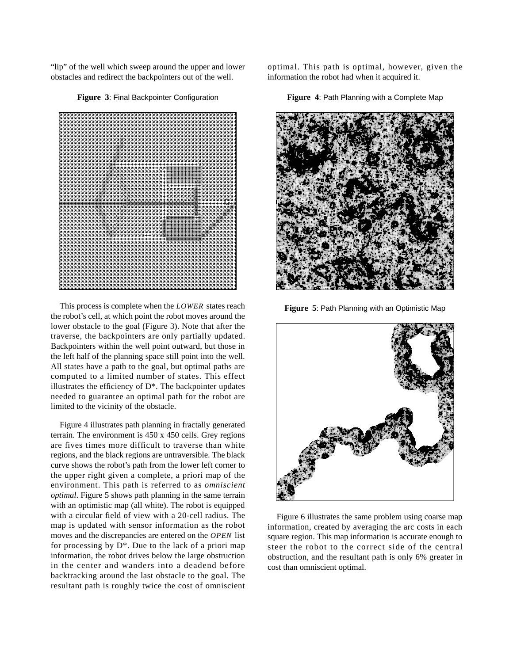"lip" of the well which sweep around the upper and lower obstacles and redirect the backpointers out of the well.

**Figure 3**: Final Backpointer Configuration



This process is complete when the LOWER states reach the robot's cell, at which point the robot moves around the lower obstacle to the goal (Figure 3). Note that after the traverse, the backpointers are only partially updated. Backpointers within the well point outward, but those in the left half of the planning space still point into the well. All states have a path to the goal, but optimal paths are computed to a limited number of states. This effect illustrates the efficiency of D\*. The backpointer updates needed to guarantee an optimal path for the robot are limited to the vicinity of the obstacle.

Figure 4 illustrates path planning in fractally generated terrain. The environment is 450 x 450 cells. Grey regions are fives times more difficult to traverse than white regions, and the black regions are untraversible. The black curve shows the robot's path from the lower left corner to the upper right given a complete, a priori map of the environment. This path is referred to as *omniscient optimal*. Figure 5 shows path planning in the same terrain with an optimistic map (all white). The robot is equipped with a circular field of view with a 20-cell radius. The map is updated with sensor information as the robot moves and the discrepancies are entered on the OPEN list for processing by  $D^*$ . Due to the lack of a priori map information, the robot drives below the large obstruction in the center and wanders into a deadend before backtracking around the last obstacle to the goal. The resultant path is roughly twice the cost of omniscient optimal. This path is optimal, however, given the information the robot had when it acquired it.

**Figure 4**: Path Planning with a Complete Map



**Figure 5**: Path Planning with an Optimistic Map



Figure 6 illustrates the same problem using coarse map information, created by averaging the arc costs in each square region. This map information is accurate enough to steer the robot to the correct side of the central obstruction, and the resultant path is only 6% greater in cost than omniscient optimal.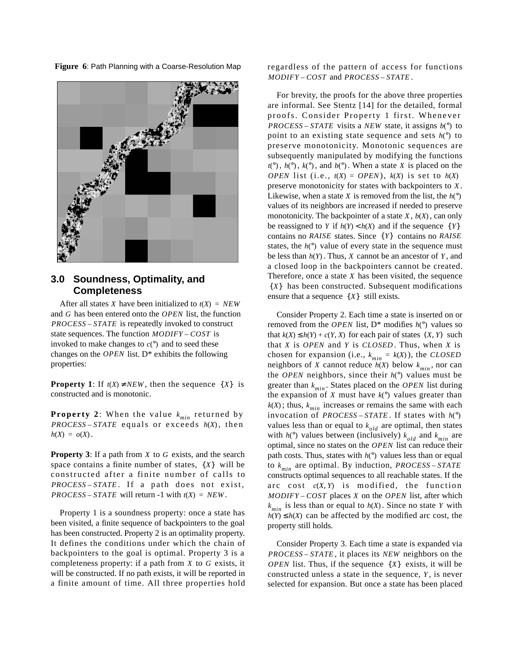**Figure 6**: Path Planning with a Coarse-Resolution Map



# **3.0 Soundness, Optimality, and Completeness**

After all states *X* have been initialized to  $t(X) = NEW$ and G has been entered onto the OPEN list, the function *PROCESS – STATE* is repeatedly invoked to construct state sequences. The function  $MODIFY-COST$  is invoked to make changes to  $c$ <sup>( $\circ$ </sup>) and to seed these changes on the OPEN list. D<sup>\*</sup> exhibits the following properties:

**Property 1**: If  $t(X) \neq NEW$ , then the sequence  $\{X\}$  is constructed and is monotonic.

**Property 2**: When the value  $k_{min}$  returned by *PROCESS-STATE* equals or exceeds  $h(X)$ , then  $h(X) = o(X)$ .

**Property 3**: If a path from X to G exists, and the search space contains a finite number of states,  $\{X\}$  will be constructed after a finite number of calls to PROCESS-STATE. If a path does not exist,  $PROCESS - STATE$  will return -1 with  $t(X) = NEW$ .

Property 1 is a soundness property: once a state has been visited, a finite sequence of backpointers to the goal has been constructed. Property 2 is an optimality property. It defines the conditions under which the chain of backpointers to the goal is optimal. Property 3 is a completeness property: if a path from X to G exists, it will be constructed. If no path exists, it will be reported in a finite amount of time. All three properties hold regardless of the pattern of access for functions  $MODIFY-COST$  and  $PROCESS-STATE$ .

For brevity, the proofs for the above three properties are informal. See Stentz [14] for the detailed, formal proofs. Consider Property 1 first. Whenever *PROCESS* – *STATE* visits a *NEW* state, it assigns  $b$ <sup>(°)</sup> to point to an existing state sequence and sets  $h$ <sup>(°)</sup> to preserve monotonicity. Monotonic sequences are subsequently manipulated by modifying the functions  $h^{\circ}$ ,  $h^{\circ}$ ,  $k^{\circ}$ , and  $h^{\circ}$ . When a state X is placed on the *OPEN* list (i.e.,  $t(X) = OPEN$ ),  $k(X)$  is set to  $h(X)$ preserve monotonicity for states with backpointers to X. Likewise, when a state  $X$  is removed from the list, the  $h$ <sup>( $\circ$ </sup>) values of its neighbors are increased if needed to preserve monotonicity. The backpointer of a state  $X$ ,  $b(X)$ , can only be reassigned to *Y* if  $h(Y) < h(X)$  and if the sequence  $\{Y\}$ contains no *RAISE* states. Since  ${Y}$  contains no *RAISE* states, the  $h$ <sup>( $\circ$ </sup>) value of every state in the sequence must be less than  $h(Y)$ . Thus, X cannot be an ancestor of Y, and a closed loop in the backpointers cannot be created. Therefore, once a state  $X$  has been visited, the sequence has been constructed. Subsequent modifications { } *X* ensure that a sequence  $\{X\}$  still exists.

Consider Property 2. Each time a state is inserted on or removed from the *OPEN* list,  $D^*$  modifies  $h$ <sup>( $\circ$ </sup>) values so that  $k(X) \le h(Y) + c(Y, X)$  for each pair of states  $(X, Y)$  such that *X* is *OPEN* and *Y* is *CLOSED*. Thus, when *X* is chosen for expansion (i.e.,  $k_{min} = k(X)$ ), the *CLOSED* neighbors of *X* cannot reduce  $h(X)$  below  $k_{min}$ , nor can the *OPEN* neighbors, since their  $h$ <sup>( $\circ$ </sup>) values must be greater than  $k_{min}$ . States placed on the *OPEN* list during the expansion of X must have  $k$ <sup>( $\circ$ </sup>) values greater than  $k(X)$ ; thus,  $k_{min}$  increases or remains the same with each invocation of *PROCESS* – *STATE*. If states with  $h$ <sup>(°)</sup> values less than or equal to  $k_{old}$  are optimal, then states with  $h$ <sup>( $\circ$ </sup>) values between (inclusively)  $k_{old}$  and  $k_{min}$  are optimal, since no states on the OPEN list can reduce their path costs. Thus, states with  $h$ <sup>( $\circ$ </sup>) values less than or equal to  $k_{min}$  are optimal. By induction, *PROCESS – STATE* constructs optimal sequences to all reachable states. If the arc cost  $c(X, Y)$  is modified, the function *MODIFY – COST* places *X* on the *OPEN* list, after which  $k_{min}$  is less than or equal to  $h(X)$ . Since no state Y with  $h(Y) \le h(X)$  can be affected by the modified arc cost, the property still holds.

Consider Property 3. Each time a state is expanded via *PROCESS* – *STATE*, it places its *NEW* neighbors on the *OPEN* list. Thus, if the sequence  $\{X\}$  exists, it will be constructed unless a state in the sequence, Y, is never selected for expansion. But once a state has been placed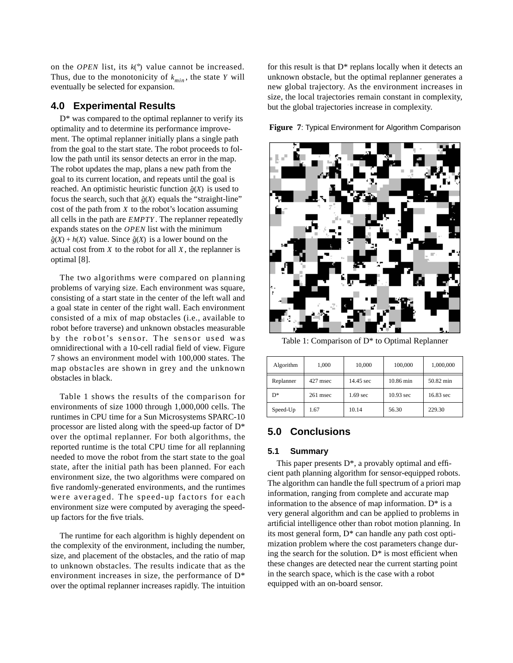on the OPEN list, its  $k$ <sup>( $\circ$ </sup>) value cannot be increased. Thus, due to the monotonicity of  $k_{min}$ , the state Y will eventually be selected for expansion.

## **4.0 Experimental Results**

D\* was compared to the optimal replanner to verify its optimality and to determine its performance improvement. The optimal replanner initially plans a single path from the goal to the start state. The robot proceeds to follow the path until its sensor detects an error in the map. The robot updates the map, plans a new path from the goal to its current location, and repeats until the goal is reached. An optimistic heuristic function  $\hat{g}(X)$  is used to focus the search, such that  $\hat{g}(X)$  equals the "straight-line" cost of the path from X to the robot's location assuming all cells in the path are *EMPTY*. The replanner repeatedly expands states on the OPEN list with the minimum  $\hat{g}(X) + h(X)$  value. Since  $\hat{g}(X)$  is a lower bound on the actual cost from  $X$  to the robot for all  $X$ , the replanner is optimal [8].

The two algorithms were compared on planning problems of varying size. Each environment was square, consisting of a start state in the center of the left wall and a goal state in center of the right wall. Each environment consisted of a mix of map obstacles (i.e., available to robot before traverse) and unknown obstacles measurable by the robot's sensor. The sensor used was omnidirectional with a 10-cell radial field of view. Figure 7 shows an environment model with 100,000 states. The map obstacles are shown in grey and the unknown obstacles in black.

Table 1 shows the results of the comparison for environments of size 1000 through 1,000,000 cells. The runtimes in CPU time for a Sun Microsystems SPARC-10 processor are listed along with the speed-up factor of D\* over the optimal replanner. For both algorithms, the reported runtime is the total CPU time for all replanning needed to move the robot from the start state to the goal state, after the initial path has been planned. For each environment size, the two algorithms were compared on five randomly-generated environments, and the runtimes were averaged. The speed-up factors for each environment size were computed by averaging the speedup factors for the five trials.

The runtime for each algorithm is highly dependent on the complexity of the environment, including the number, size, and placement of the obstacles, and the ratio of map to unknown obstacles. The results indicate that as the environment increases in size, the performance of D\* over the optimal replanner increases rapidly. The intuition

for this result is that  $D^*$  replans locally when it detects an unknown obstacle, but the optimal replanner generates a new global trajectory. As the environment increases in size, the local trajectories remain constant in complexity, but the global trajectories increase in complexity.

**Figure 7**: Typical Environment for Algorithm Comparison



Table 1: Comparison of D\* to Optimal Replanner

| Algorithm | 1,000      | 10,000     | 100,000             | 1,000,000 |
|-----------|------------|------------|---------------------|-----------|
| Replanner | 427 msec   | 14.45 sec  | 10.86 min           | 50.82 min |
| D*        | $261$ msec | $1.69$ sec | $10.93 \text{ sec}$ | 16.83 sec |
| Speed-Up  | 1.67       | 10.14      | 56.30               | 229.30    |

## **5.0 Conclusions**

## **5.1 Summary**

This paper presents  $D^*$ , a provably optimal and efficient path planning algorithm for sensor-equipped robots. The algorithm can handle the full spectrum of a priori map information, ranging from complete and accurate map information to the absence of map information.  $D^*$  is a very general algorithm and can be applied to problems in artificial intelligence other than robot motion planning. In its most general form, D\* can handle any path cost optimization problem where the cost parameters change during the search for the solution.  $D^*$  is most efficient when these changes are detected near the current starting point in the search space, which is the case with a robot equipped with an on-board sensor.